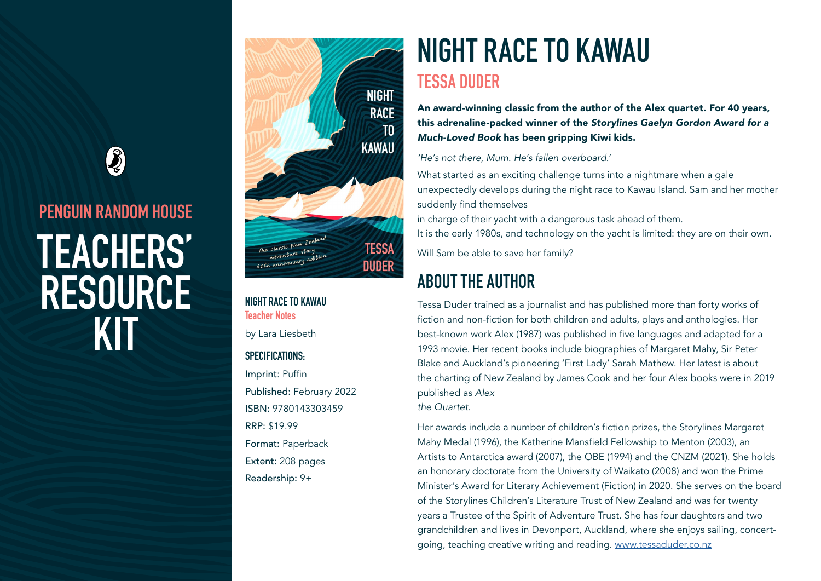## $\boldsymbol{\mathcal{S}}$

# **PENGUIN RANDOM HOUSE TEACHERS' RESOURCE KIT**



**NIGHT RACE TO KAWAU Teacher Notes** by Lara Liesbeth

#### **SPECIFICATIONS:**

Imprint: Puffin Published: February 2022 ISBN: 9780143303459 RRP: \$19.99 Format: Paperback Extent: 208 pages Readership: 9+

# **NIGHT RACE TO KAWAU**

#### **TESSA DUDER**

An award-winning classic from the author of the Alex quartet. For 40 years, this adrenaline-packed winner of the *Storylines Gaelyn Gordon Award for a Much-Loved Book* has been gripping Kiwi kids.

*'He's not there, Mum. He's fallen overboard.'*

What started as an exciting challenge turns into a nightmare when a gale unexpectedly develops during the night race to Kawau Island. Sam and her mother suddenly find themselves in charge of their yacht with a dangerous task ahead of them.

It is the early 1980s, and technology on the yacht is limited: they are on their own.

Will Sam be able to save her family?

## **ABOUT THE AUTHOR**

Tessa Duder trained as a journalist and has published more than forty works of fiction and non-fiction for both children and adults, plays and anthologies. Her best-known work Alex (1987) was published in five languages and adapted for a 1993 movie. Her recent books include biographies of Margaret Mahy, Sir Peter Blake and Auckland's pioneering 'First Lady' Sarah Mathew. Her latest is about the charting of New Zealand by James Cook and her four Alex books were in 2019 published as *Alex* 

*the Quartet.*

Her awards include a number of children's fiction prizes, the Storylines Margaret Mahy Medal (1996), the Katherine Mansfield Fellowship to Menton (2003), an Artists to Antarctica award (2007), the OBE (1994) and the CNZM (2021). She holds an honorary doctorate from the University of Waikato (2008) and won the Prime Minister's Award for Literary Achievement (Fiction) in 2020. She serves on the board of the Storylines Children's Literature Trust of New Zealand and was for twenty years a Trustee of the Spirit of Adventure Trust. She has four daughters and two grandchildren and lives in Devonport, Auckland, where she enjoys sailing, concertgoing, teaching creative writing and reading. [www.tessaduder.co.nz](http://www.tessaduder.co.nz)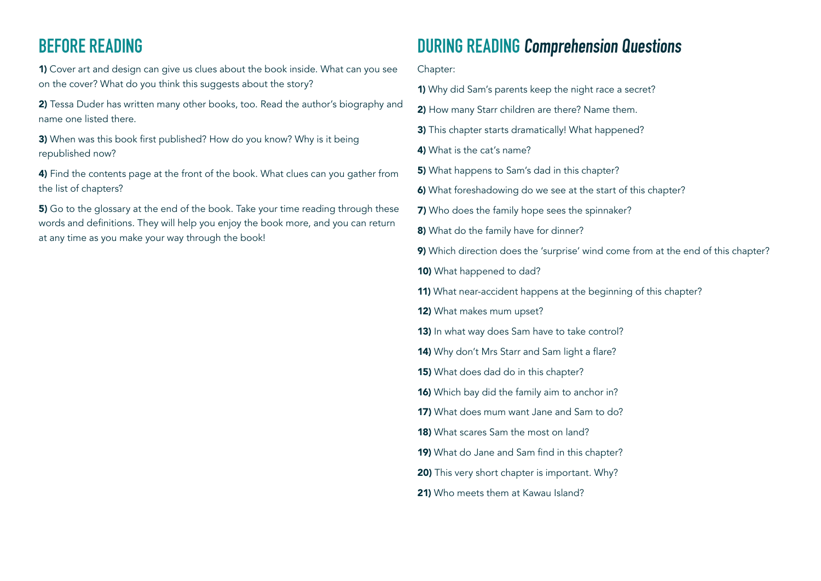## **BEFORE READING**

1) Cover art and design can give us clues about the book inside. What can you see on the cover? What do you think this suggests about the story?

2) Tessa Duder has written many other books, too. Read the author's biography and name one listed there.

3) When was this book first published? How do you know? Why is it being republished now?

4) Find the contents page at the front of the book. What clues can you gather from the list of chapters?

5) Go to the glossary at the end of the book. Take your time reading through these words and definitions. They will help you enjoy the book more, and you can return at any time as you make your way through the book!

### **DURING READING Comprehension Questions**

Chapter:

- 1) Why did Sam's parents keep the night race a secret?
- 2) How many Starr children are there? Name them.
- 3) This chapter starts dramatically! What happened?
- 4) What is the cat's name?
- 5) What happens to Sam's dad in this chapter?
- 6) What foreshadowing do we see at the start of this chapter?
- 7) Who does the family hope sees the spinnaker?
- 8) What do the family have for dinner?
- 9) Which direction does the 'surprise' wind come from at the end of this chapter?
- 10) What happened to dad?
- 11) What near-accident happens at the beginning of this chapter?
- 12) What makes mum upset?
- 13) In what way does Sam have to take control?
- 14) Why don't Mrs Starr and Sam light a flare?
- **15)** What does dad do in this chapter?
- 16) Which bay did the family aim to anchor in?
- 17) What does mum want Jane and Sam to do?
- 18) What scares Sam the most on land?
- 19) What do Jane and Sam find in this chapter?
- 20) This very short chapter is important. Why?
- 21) Who meets them at Kawau Island?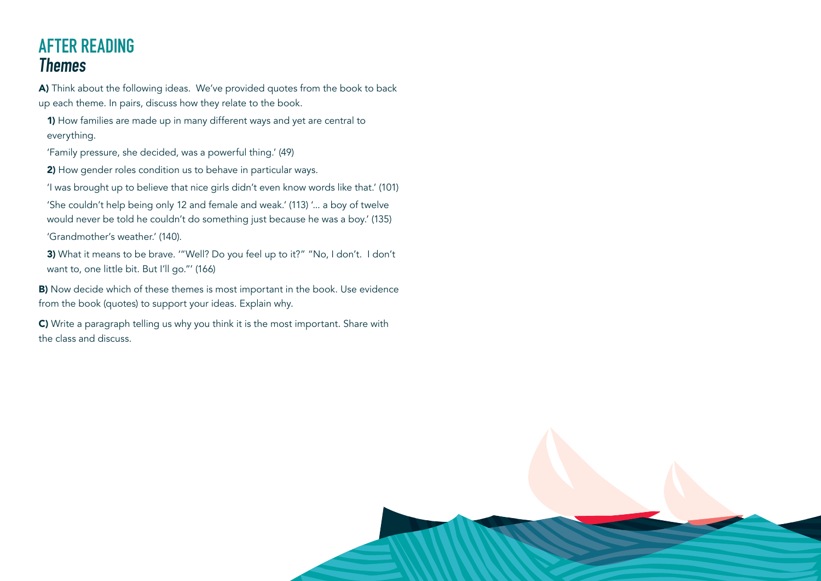## **AFTER READING Themes**

A) Think about the following ideas. We've provided quotes from the book to back up each theme. In pairs, discuss how they relate to the book.

1) How families are made up in many different ways and yet are central to everything.

'Family pressure, she decided, was a powerful thing.' (49)

2) How gender roles condition us to behave in particular ways.

'I was brought up to believe that nice girls didn't even know words like that.' (101)

'She couldn't help being only 12 and female and weak.' (113) '... a boy of twelve would never be told he couldn't do something just because he was a boy.' (135) 'Grandmother's weather.' (140).

3) What it means to be brave. ""Well? Do you feel up to it?" "No, I don't. I don't want to, one little bit. But I'll go."' (166)

B) Now decide which of these themes is most important in the book. Use evidence from the book (quotes) to support your ideas. Explain why.

C) Write a paragraph telling us why you think it is the most important. Share with the class and discuss.

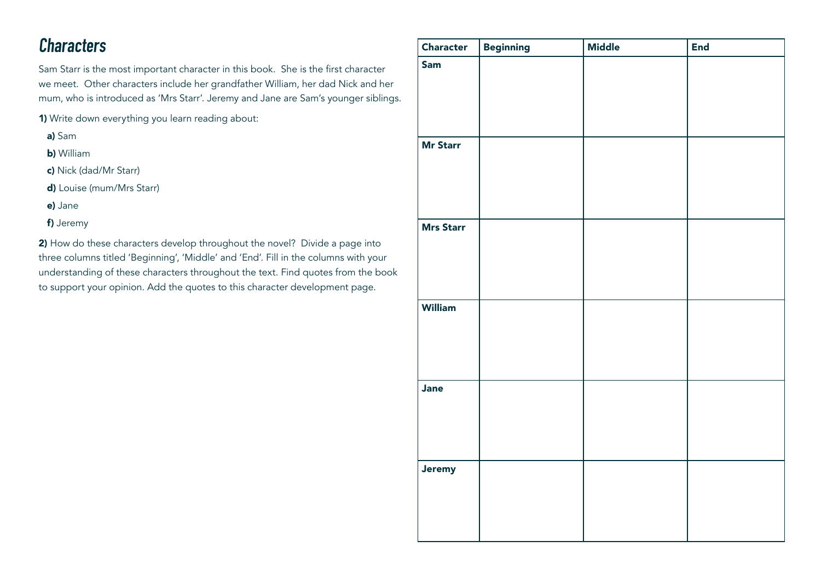## **Characters**

Sam Starr is the most important character in this book. She is the first character we meet. Other characters include her grandfather William, her dad Nick and her mum, who is introduced as 'Mrs Starr'. Jeremy and Jane are Sam's younger siblings.

1) Write down everything you learn reading about:

- a) Sam
- b) William
- c) Nick (dad/Mr Starr)
- d) Louise (mum/Mrs Starr)
- e) Jane
- f) Jeremy

2) How do these characters develop throughout the novel? Divide a page into three columns titled 'Beginning', 'Middle' and 'End'. Fill in the columns with your understanding of these characters throughout the text. Find quotes from the book to support your opinion. Add the quotes to this character development page.

| Character        | <b>Beginning</b> | <b>Middle</b> | <b>End</b> |
|------------------|------------------|---------------|------------|
| Sam              |                  |               |            |
| <b>Mr Starr</b>  |                  |               |            |
| <b>Mrs Starr</b> |                  |               |            |
|                  |                  |               |            |
| <b>William</b>   |                  |               |            |
| Jane             |                  |               |            |
| Jeremy           |                  |               |            |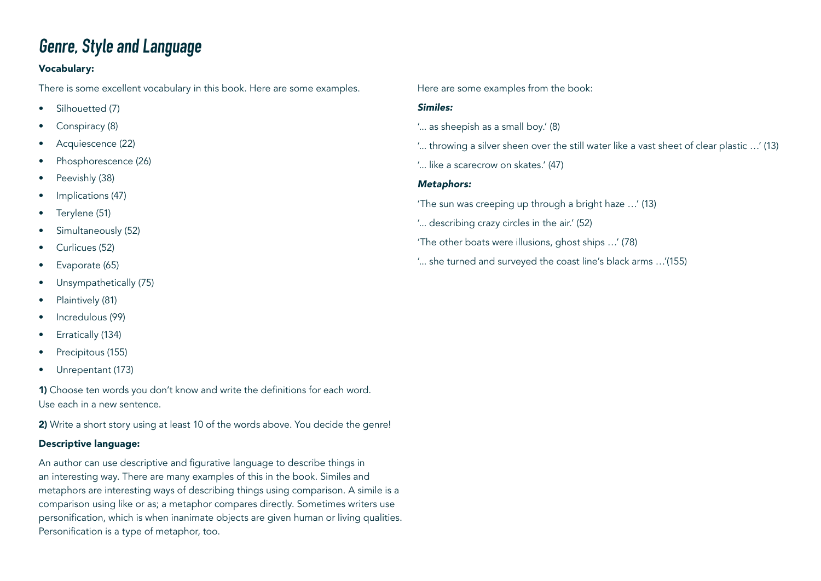## **Genre, Style and Language**

#### Vocabulary:

There is some excellent vocabulary in this book. Here are some examples.

- Silhouetted (7)
- Conspiracy (8)
- Acquiescence (22)
- Phosphorescence (26)
- Peevishly (38)
- Implications (47)
- Terylene (51)
- Simultaneously (52)
- Curlicues (52)
- Evaporate (65)
- Unsympathetically (75)
- Plaintively (81)
- Incredulous (99)
- Erratically (134)
- Precipitous (155)
- Unrepentant (173)

1) Choose ten words you don't know and write the definitions for each word. Use each in a new sentence.

2) Write a short story using at least 10 of the words above. You decide the genre!

#### Descriptive language:

An author can use descriptive and figurative language to describe things in an interesting way. There are many examples of this in the book. Similes and metaphors are interesting ways of describing things using comparison. A simile is a comparison using like or as; a metaphor compares directly. Sometimes writers use personification, which is when inanimate objects are given human or living qualities. Personification is a type of metaphor, too.

Here are some examples from the book:

#### *Similes:*

- '... as sheepish as a small boy.' (8)
- '... throwing a silver sheen over the still water like a vast sheet of clear plastic …' (13)
- '... like a scarecrow on skates.' (47)

#### *Metaphors:*

- 'The sun was creeping up through a bright haze …' (13)
- '... describing crazy circles in the air.' (52)
- 'The other boats were illusions, ghost ships …' (78)
- '... she turned and surveyed the coast line's black arms …'(155)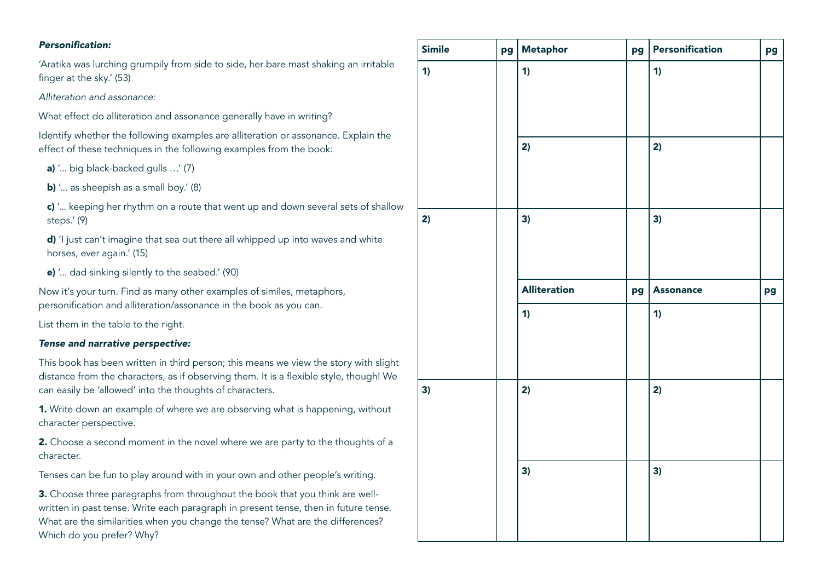#### Personification:

'Aratika was lurching grumpily from side to side, her bare mast shaking an irritable finger at the sky.' (53)

*Alliteration and assonance:* 

What effect do alliteration and assonance generally have in writing?

Identify whether the following examples are alliteration or assonance. Explain the effect of these techniques in the following examples from the book:

a) '... big black-backed gulls …' (7)

b) '... as sheepish as a small boy.' (8)

c) '... keeping her rhythm on a route that went up and down several sets of shallow steps.' (9)

d) 'I just can't imagine that sea out there all whipped up into waves and white horses, ever again.' (15)

e) '... dad sinking silently to the seabed.' (90)

Now it's your turn. Find as many other examples of similes, metaphors, personification and alliteration/assonance in the book as you can.

List them in the table to the right.

#### *Tense and narrative perspective:*

This book has been written in third person; this means we view the story with slight distance from the characters, as if observing them. It is a flexible style, though! We can easily be 'allowed' into the thoughts of characters.

1. Write down an example of where we are observing what is happening, without character perspective.

2. Choose a second moment in the novel where we are party to the thoughts of a character.

Tenses can be fun to play around with in your own and other people's writing.

3. Choose three paragraphs from throughout the book that you think are wellwritten in past tense. Write each paragraph in present tense, then in future tense. What are the similarities when you change the tense? What are the differences? Which do you prefer? Why?

| <b>Simile</b> | pg | Metaphor            | pg | Personification  | pg |
|---------------|----|---------------------|----|------------------|----|
| 1)            |    | 1)                  |    | 1)               |    |
|               |    | 2)                  |    | 2)               |    |
| 2)            |    | 3)                  |    | 3)               |    |
|               |    | <b>Alliteration</b> | pg | <b>Assonance</b> | pg |
|               |    | 1)                  |    | 1)               |    |
| 3)            |    | 2)                  |    | 2)               |    |
|               |    | 3)                  |    | 3)               |    |